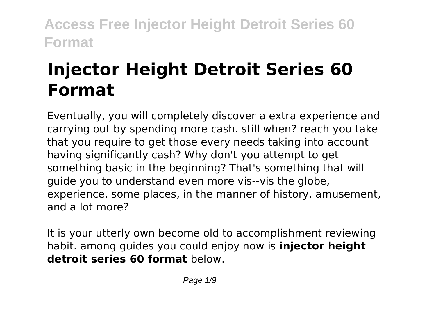# **Injector Height Detroit Series 60 Format**

Eventually, you will completely discover a extra experience and carrying out by spending more cash. still when? reach you take that you require to get those every needs taking into account having significantly cash? Why don't you attempt to get something basic in the beginning? That's something that will guide you to understand even more vis--vis the globe, experience, some places, in the manner of history, amusement, and a lot more?

It is your utterly own become old to accomplishment reviewing habit. among guides you could enjoy now is **injector height detroit series 60 format** below.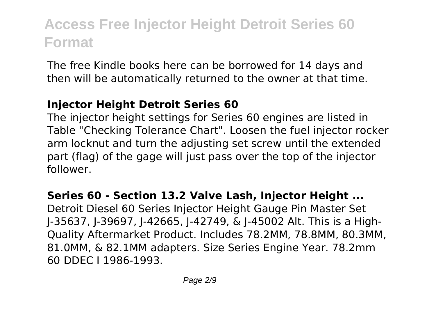The free Kindle books here can be borrowed for 14 days and then will be automatically returned to the owner at that time.

### **Injector Height Detroit Series 60**

The injector height settings for Series 60 engines are listed in Table "Checking Tolerance Chart". Loosen the fuel injector rocker arm locknut and turn the adjusting set screw until the extended part (flag) of the gage will just pass over the top of the injector follower.

#### **Series 60 - Section 13.2 Valve Lash, Injector Height ...**

Detroit Diesel 60 Series Injector Height Gauge Pin Master Set J-35637, J-39697, J-42665, J-42749, & J-45002 Alt. This is a High-Quality Aftermarket Product. Includes 78.2MM, 78.8MM, 80.3MM, 81.0MM, & 82.1MM adapters. Size Series Engine Year. 78.2mm 60 DDEC I 1986-1993.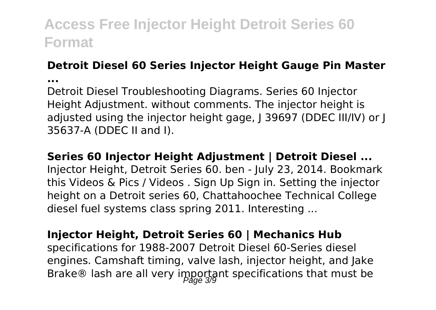#### **Detroit Diesel 60 Series Injector Height Gauge Pin Master**

**...**

Detroit Diesel Troubleshooting Diagrams. Series 60 Injector Height Adjustment. without comments. The injector height is adjusted using the injector height gage, I 39697 (DDEC III/IV) or I 35637-A (DDEC II and I).

**Series 60 Injector Height Adjustment | Detroit Diesel ...**

Injector Height, Detroit Series 60. ben - July 23, 2014. Bookmark this Videos & Pics / Videos . Sign Up Sign in. Setting the injector height on a Detroit series 60, Chattahoochee Technical College diesel fuel systems class spring 2011. Interesting ...

### **Injector Height, Detroit Series 60 | Mechanics Hub**

specifications for 1988-2007 Detroit Diesel 60-Series diesel engines. Camshaft timing, valve lash, injector height, and Jake Brake® lash are all very important specifications that must be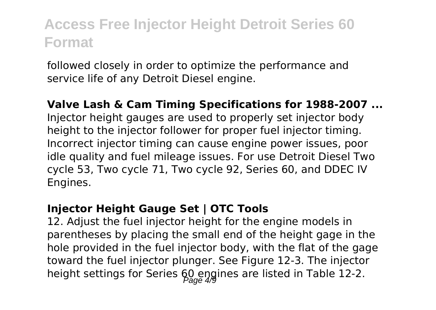followed closely in order to optimize the performance and service life of any Detroit Diesel engine.

#### **Valve Lash & Cam Timing Specifications for 1988-2007 ...** Injector height gauges are used to properly set injector body height to the injector follower for proper fuel injector timing. Incorrect injector timing can cause engine power issues, poor

idle quality and fuel mileage issues. For use Detroit Diesel Two cycle 53, Two cycle 71, Two cycle 92, Series 60, and DDEC IV Engines.

### **Injector Height Gauge Set | OTC Tools**

12. Adjust the fuel injector height for the engine models in parentheses by placing the small end of the height gage in the hole provided in the fuel injector body, with the flat of the gage toward the fuel injector plunger. See Figure 12-3. The injector height settings for Series 60 engines are listed in Table 12-2.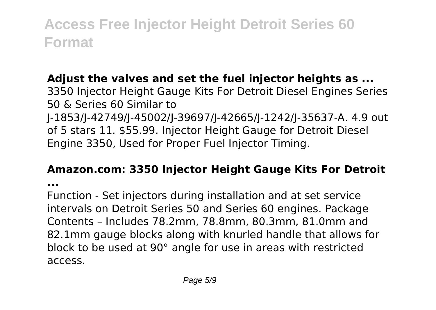### **Adjust the valves and set the fuel injector heights as ...**

3350 Injector Height Gauge Kits For Detroit Diesel Engines Series 50 & Series 60 Similar to J-1853/J-42749/J-45002/J-39697/J-42665/J-1242/J-35637-A. 4.9 out of 5 stars 11. \$55.99. Injector Height Gauge for Detroit Diesel Engine 3350, Used for Proper Fuel Injector Timing.

#### **Amazon.com: 3350 Injector Height Gauge Kits For Detroit**

**...**

Function - Set injectors during installation and at set service intervals on Detroit Series 50 and Series 60 engines. Package Contents – Includes 78.2mm, 78.8mm, 80.3mm, 81.0mm and 82.1mm gauge blocks along with knurled handle that allows for block to be used at 90° angle for use in areas with restricted access.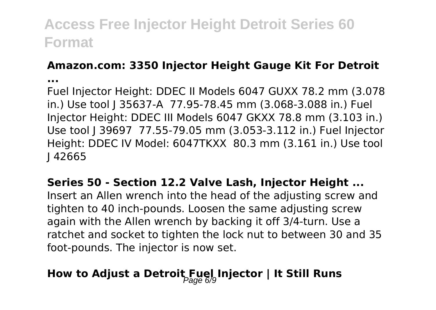### **Amazon.com: 3350 Injector Height Gauge Kit For Detroit**

**...**

Fuel Injector Height: DDEC II Models 6047 GUXX 78.2 mm (3.078 in.) Use tool I 35637-A 77.95-78.45 mm (3.068-3.088 in.) Fuel Injector Height: DDEC III Models 6047 GKXX 78.8 mm (3.103 in.) Use tool J 39697 77.55-79.05 mm (3.053-3.112 in.) Fuel Injector Height: DDEC IV Model: 6047TKXX 80.3 mm (3.161 in.) Use tool J 42665

#### **Series 50 - Section 12.2 Valve Lash, Injector Height ...**

Insert an Allen wrench into the head of the adjusting screw and tighten to 40 inch-pounds. Loosen the same adjusting screw again with the Allen wrench by backing it off 3/4-turn. Use a ratchet and socket to tighten the lock nut to between 30 and 35 foot-pounds. The injector is now set.

### **How to Adjust a Detroit Fuel Injector | It Still Runs**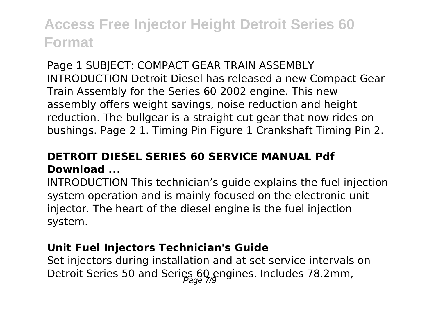Page 1 SUBJECT: COMPACT GEAR TRAIN ASSEMBLY INTRODUCTION Detroit Diesel has released a new Compact Gear Train Assembly for the Series 60 2002 engine. This new assembly offers weight savings, noise reduction and height reduction. The bullgear is a straight cut gear that now rides on bushings. Page 2 1. Timing Pin Figure 1 Crankshaft Timing Pin 2.

### **DETROIT DIESEL SERIES 60 SERVICE MANUAL Pdf Download ...**

INTRODUCTION This technician's guide explains the fuel injection system operation and is mainly focused on the electronic unit injector. The heart of the diesel engine is the fuel injection system.

#### **Unit Fuel Injectors Technician's Guide**

Set injectors during installation and at set service intervals on Detroit Series 50 and Series 60 engines. Includes 78.2mm,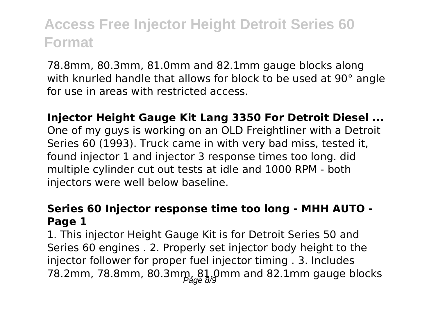78.8mm, 80.3mm, 81.0mm and 82.1mm gauge blocks along with knurled handle that allows for block to be used at 90° angle for use in areas with restricted access.

**Injector Height Gauge Kit Lang 3350 For Detroit Diesel ...** One of my guys is working on an OLD Freightliner with a Detroit Series 60 (1993). Truck came in with very bad miss, tested it, found injector 1 and injector 3 response times too long. did multiple cylinder cut out tests at idle and 1000 RPM - both injectors were well below baseline.

### **Series 60 Injector response time too long - MHH AUTO - Page 1**

1. This injector Height Gauge Kit is for Detroit Series 50 and Series 60 engines . 2. Properly set injector body height to the injector follower for proper fuel injector timing . 3. Includes 78.2mm, 78.8mm, 80.3mm, 81,0mm and 82.1mm gauge blocks